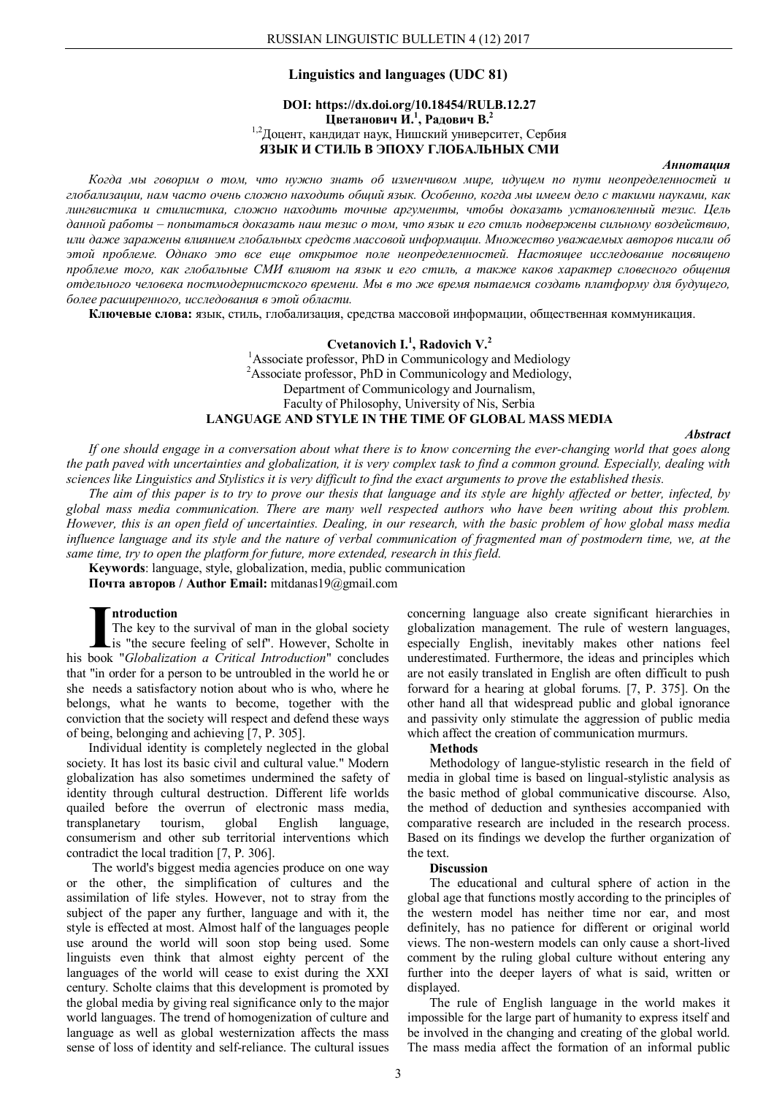### **Linguistics and languages (UDC 81)**

# **DOI: https://dx.doi.org/10.18454/RULB.12.27 Цветанович И.<sup>1</sup> , Радович В.<sup>2</sup>** 1,2Доцент, кандидат наук, Нишский университет, Сербия **ЯЗЫК И СТИЛЬ В ЭПОХУ ГЛОБАЛЬНЫХ СМИ**

### *Аннотация*

*Когда мы говорим о том, что нужно знать об изменчивом мире, идущем по пути неопределенностей и глобализации, нам часто очень сложно находить общий язык. Особенно, когда мы имеем дело с такими науками, как лингвистика и стилистика, сложно находить точные аргументы, чтобы доказать установленный тезис. Цель данной работы – попытаться доказать наш тезис о том, что язык и его стиль подвержены сильному воздействию, или даже заражены влиянием глобальных средств массовой информации. Множество уважаемых авторов писали об этой проблеме. Однако это все еще открытое поле неопределенностей. Настоящее исследование посвящено проблеме того, как глобальные СМИ влияют на язык и его стиль, а также каков характер словесного общения отдельного человека постмодернистского времени. Мы в то же время пытаемся создать платформу для будущего, более расширенного, исследования в этой области.*

**Ключевые слова:** язык, стиль, глобализация, средства массовой информации, общественная коммуникация.

# **Cvetanovich I.<sup>1</sup> , Radovich V.<sup>2</sup>** <sup>1</sup>Associate professor, PhD in Communicology and Mediology <sup>2</sup>Associate professor, PhD in Communicology and Mediology, Department of Communicology and Journalism, Faculty of Philosophy, University of Nis, Serbia **LANGUAGE AND STYLE IN THE TIME OF GLOBAL MASS MEDIA**

*Abstract*

*If one should engage in a conversation about what there is to know concerning the ever-changing world that goes along the path paved with uncertainties and globalization, it is very complex task to find a common ground. Especially, dealing with sciences like Linguistics and Stylistics it is very difficult to find the exact arguments to prove the established thesis.*

*The aim of this paper is to try to prove our thesis that language and its style are highly affected or better, infected, by global mass media communication. There are many well respected authors who have been writing about this problem. However, this is an open field of uncertainties. Dealing, in our research, with the basic problem of how global mass media influence language and its style and the nature of verbal communication of fragmented man of postmodern time, we, at the same time, try to open the platform for future, more extended, research in this field.*

**Keywords**: language, style, globalization, media, public communication

**Почта авторов / Author Email:** mitdanas19@gmail.com

### **ntroduction**

The key to the survival of man in the global society is "the secure feeling of self". However, Scholte in **Introduction**<br>The key to the survival of man in the global society<br>is "the secure feeling of self". However, Scholte in<br>his book "*Globalization a Critical Introduction*" concludes that "in order for a person to be untroubled in the world he or she needs a satisfactory notion about who is who, where he belongs, what he wants to become, together with the conviction that the society will respect and defend these ways of being, belonging and achieving [7, P. 305].

Individual identity is completely neglected in the global society. It has lost its basic civil and cultural value." Modern globalization has also sometimes undermined the safety of identity through cultural destruction. Different life worlds quailed before the overrun of electronic mass media, transplanetary tourism, global English language, consumerism and other sub territorial interventions which contradict the local tradition [7, P. 306].

The world's biggest media agencies produce on one way or the other, the simplification of cultures and the assimilation of life styles. However, not to stray from the subject of the paper any further, language and with it, the style is effected at most. Almost half of the languages people use around the world will soon stop being used. Some linguists even think that almost eighty percent of the languages of the world will cease to exist during the XXI century. Scholte claims that this development is promoted by the global media by giving real significance only to the major world languages. The trend of homogenization of culture and language as well as global westernization affects the mass sense of loss of identity and self-reliance. The cultural issues

concerning language also create significant hierarchies in globalization management. The rule of western languages, especially English, inevitably makes other nations feel underestimated. Furthermore, the ideas and principles which are not easily translated in English are often difficult to push forward for a hearing at global forums. [7, P. 375]. On the other hand all that widespread public and global ignorance and passivity only stimulate the aggression of public media which affect the creation of communication murmurs.

### **Methods**

Methodology of langue-stylistic research in the field of media in global time is based on lingual-stylistic analysis as the basic method of global communicative discourse. Also, the method of deduction and synthesies accompanied with comparative research are included in the research process. Based on its findings we develop the further organization of the text.

#### **Discussion**

The educational and cultural sphere of action in the global age that functions mostly according to the principles of the western model has neither time nor ear, and most definitely, has no patience for different or original world views. The non-western models can only cause a short-lived comment by the ruling global culture without entering any further into the deeper layers of what is said, written or displayed.

The rule of English language in the world makes it impossible for the large part of humanity to express itself and be involved in the changing and creating of the global world. The mass media affect the formation of an informal public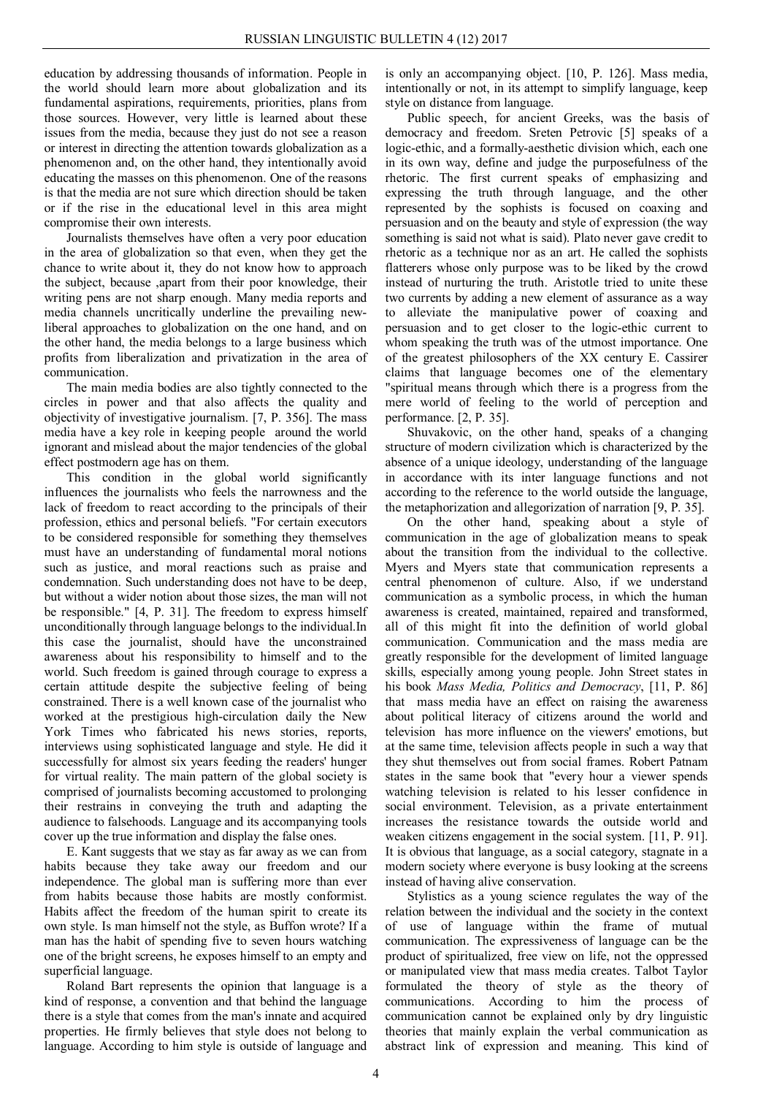education by addressing thousands of information. People in the world should learn more about globalization and its fundamental aspirations, requirements, priorities, plans from those sources. However, very little is learned about these issues from the media, because they just do not see a reason or interest in directing the attention towards globalization as a phenomenon and, on the other hand, they intentionally avoid educating the masses on this phenomenon. One of the reasons is that the media are not sure which direction should be taken or if the rise in the educational level in this area might compromise their own interests.

Journalists themselves have often a very poor education in the area of globalization so that even, when they get the chance to write about it, they do not know how to approach the subject, because ,apart from their poor knowledge, their writing pens are not sharp enough. Many media reports and media channels uncritically underline the prevailing newliberal approaches to globalization on the one hand, and on the other hand, the media belongs to a large business which profits from liberalization and privatization in the area of communication.

The main media bodies are also tightly connected to the circles in power and that also affects the quality and objectivity of investigative journalism. [7, P. 356]. The mass media have a key role in keeping people around the world ignorant and mislead about the major tendencies of the global effect postmodern age has on them.

This condition in the global world significantly influences the journalists who feels the narrowness and the lack of freedom to react according to the principals of their profession, ethics and personal beliefs. "For certain executors to be considered responsible for something they themselves must have an understanding of fundamental moral notions such as justice, and moral reactions such as praise and condemnation. Such understanding does not have to be deep, but without a wider notion about those sizes, the man will not be responsible." [4, P. 31]. The freedom to express himself unconditionally through language belongs to the individual.In this case the journalist, should have the unconstrained awareness about his responsibility to himself and to the world. Such freedom is gained through courage to express a certain attitude despite the subjective feeling of being constrained. There is a well known case of the journalist who worked at the prestigious high-circulation daily the New York Times who fabricated his news stories, reports, interviews using sophisticated language and style. He did it successfully for almost six years feeding the readers' hunger for virtual reality. The main pattern of the global society is comprised of journalists becoming accustomed to prolonging their restrains in conveying the truth and adapting the audience to falsehoods. Language and its accompanying tools cover up the true information and display the false ones.

E. Kant suggests that we stay as far away as we can from habits because they take away our freedom and our independence. The global man is suffering more than ever from habits because those habits are mostly conformist. Habits affect the freedom of the human spirit to create its own style. Is man himself not the style, as Buffon wrote? If a man has the habit of spending five to seven hours watching one of the bright screens, he exposes himself to an empty and superficial language.

Roland Bart represents the opinion that language is a kind of response, a convention and that behind the language there is a style that comes from the man's innate and acquired properties. He firmly believes that style does not belong to language. According to him style is outside of language and

is only an accompanying object. [10, P. 126]. Mass media, intentionally or not, in its attempt to simplify language, keep style on distance from language.

Public speech, for ancient Greeks, was the basis of democracy and freedom. Sreten Petrovic [5] speaks of a logic-ethic, and a formally-aesthetic division which, each one in its own way, define and judge the purposefulness of the rhetoric. The first current speaks of emphasizing and expressing the truth through language, and the other represented by the sophists is focused on coaxing and persuasion and on the beauty and style of expression (the way something is said not what is said). Plato never gave credit to rhetoric as a technique nor as an art. He called the sophists flatterers whose only purpose was to be liked by the crowd instead of nurturing the truth. Aristotle tried to unite these two currents by adding a new element of assurance as a way to alleviate the manipulative power of coaxing and persuasion and to get closer to the logic-ethic current to whom speaking the truth was of the utmost importance. One of the greatest philosophers of the XX century E. Cassirer claims that language becomes one of the elementary "spiritual means through which there is a progress from the mere world of feeling to the world of perception and performance. [2, P. 35].

Shuvakovic, on the other hand, speaks of a changing structure of modern civilization which is characterized by the absence of a unique ideology, understanding of the language in accordance with its inter language functions and not according to the reference to the world outside the language, the metaphorization and allegorization of narration [9, P. 35].

On the other hand, speaking about a style of communication in the age of globalization means to speak about the transition from the individual to the collective. Myers and Myers state that communication represents a central phenomenon of culture. Also, if we understand communication as a symbolic process, in which the human awareness is created, maintained, repaired and transformed, all of this might fit into the definition of world global communication. Communication and the mass media are greatly responsible for the development of limited language skills, especially among young people. John Street states in his book *Mass Media, Politics and Democracy*, [11, P. 86] that mass media have an effect on raising the awareness about political literacy of citizens around the world and television has more influence on the viewers' emotions, but at the same time, television affects people in such a way that they shut themselves out from social frames. Robert Patnam states in the same book that "every hour a viewer spends watching television is related to his lesser confidence in social environment. Television, as a private entertainment increases the resistance towards the outside world and weaken citizens engagement in the social system. [11, P. 91]. It is obvious that language, as a social category, stagnate in a modern society where everyone is busy looking at the screens instead of having alive conservation.

Stylistics as a young science regulates the way of the relation between the individual and the society in the context of use of language within the frame of mutual communication. The expressiveness of language can be the product of spiritualized, free view on life, not the oppressed or manipulated view that mass media creates. Talbot Taylor formulated the theory of style as the theory of communications. According to him the process of communication cannot be explained only by dry linguistic theories that mainly explain the verbal communication as abstract link of expression and meaning. This kind of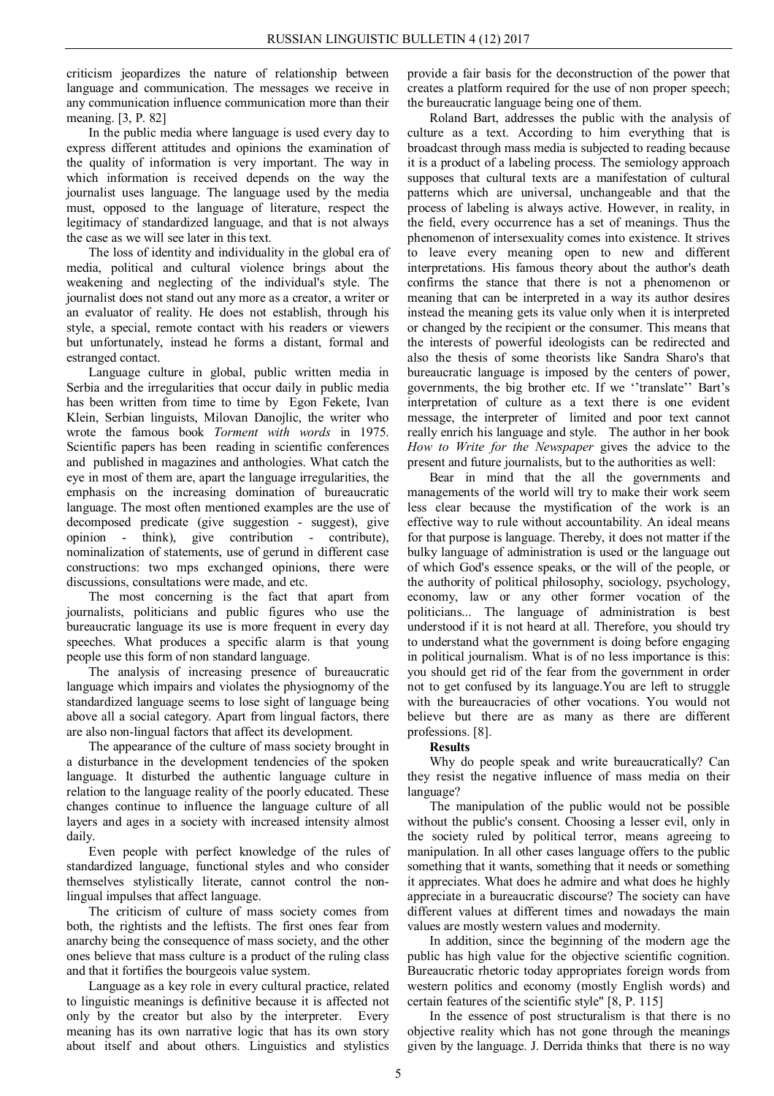criticism jeopardizes the nature of relationship between language and communication. The messages we receive in any communication influence communication more than their meaning. [3, P. 82]

In the public media where language is used every day to express different attitudes and opinions the examination of the quality of information is very important. The way in which information is received depends on the way the journalist uses language. The language used by the media must, opposed to the language of literature, respect the legitimacy of standardized language, and that is not always the case as we will see later in this text.

The loss of identity and individuality in the global era of media, political and cultural violence brings about the weakening and neglecting of the individual's style. The journalist does not stand out any more as a creator, a writer or an evaluator of reality. He does not establish, through his style, a special, remote contact with his readers or viewers but unfortunately, instead he forms a distant, formal and estranged contact.

Language culture in global, public written media in Serbia and the irregularities that occur daily in public media has been written from time to time by Egon Fekete, Ivan Klein, Serbian linguists, Milovan Danojlic, the writer who wrote the famous book *Torment with words* in 1975. Scientific papers has been reading in scientific conferences and published in magazines and anthologies. What catch the eye in most of them are, apart the language irregularities, the emphasis on the increasing domination of bureaucratic language. The most often mentioned examples are the use of decomposed predicate (give suggestion - suggest), give opinion - think), give contribution - contribute), nominalization of statements, use of gerund in different case constructions: two mps exchanged opinions, there were discussions, consultations were made, and etc.

The most concerning is the fact that apart from journalists, politicians and public figures who use the bureaucratic language its use is more frequent in every day speeches. What produces a specific alarm is that young people use this form of non standard language.

The analysis of increasing presence of bureaucratic language which impairs and violates the physiognomy of the standardized language seems to lose sight of language being above all a social category. Apart from lingual factors, there are also non-lingual factors that affect its development.

The appearance of the culture of mass society brought in a disturbance in the development tendencies of the spoken language. It disturbed the authentic language culture in relation to the language reality of the poorly educated. These changes continue to influence the language culture of all layers and ages in a society with increased intensity almost daily.

Even people with perfect knowledge of the rules of standardized language, functional styles and who consider themselves stylistically literate, cannot control the nonlingual impulses that affect language.

The criticism of culture of mass society comes from both, the rightists and the leftists. The first ones fear from anarchy being the consequence of mass society, and the other ones believe that mass culture is a product of the ruling class and that it fortifies the bourgeois value system.

Language as a key role in every cultural practice, related to linguistic meanings is definitive because it is affected not only by the creator but also by the interpreter. Every meaning has its own narrative logic that has its own story about itself and about others. Linguistics and stylistics

provide a fair basis for the deconstruction of the power that creates a platform required for the use of non proper speech; the bureaucratic language being one of them.

Roland Bart, addresses the public with the analysis of culture as a text. According to him everything that is broadcast through mass media is subjected to reading because it is a product of a labeling process. The semiology approach supposes that cultural texts are a manifestation of cultural patterns which are universal, unchangeable and that the process of labeling is always active. However, in reality, in the field, every occurrence has a set of meanings. Thus the phenomenon of intersexuality comes into existence. It strives to leave every meaning open to new and different interpretations. His famous theory about the author's death confirms the stance that there is not a phenomenon or meaning that can be interpreted in a way its author desires instead the meaning gets its value only when it is interpreted or changed by the recipient or the consumer. This means that the interests of powerful ideologists can be redirected and also the thesis of some theorists like Sandra Sharo's that bureaucratic language is imposed by the centers of power, governments, the big brother etc. If we ''translate'' Bart's interpretation of culture as a text there is one evident message, the interpreter of limited and poor text cannot really enrich his language and style. The author in her book *How to Write for the Newspaper* gives the advice to the present and future journalists, but to the authorities as well:

Bear in mind that the all the governments and managements of the world will try to make their work seem less clear because the mystification of the work is an effective way to rule without accountability. An ideal means for that purpose is language. Thereby, it does not matter if the bulky language of administration is used or the language out of which God's essence speaks, or the will of the people, or the authority of political philosophy, sociology, psychology, economy, law or any other former vocation of the politicians... The language of administration is best understood if it is not heard at all. Therefore, you should try to understand what the government is doing before engaging in political journalism. What is of no less importance is this: you should get rid of the fear from the government in order not to get confused by its language.You are left to struggle with the bureaucracies of other vocations. You would not believe but there are as many as there are different professions. [8].

# **Results**

Why do people speak and write bureaucratically? Can they resist the negative influence of mass media on their language?

The manipulation of the public would not be possible without the public's consent. Choosing a lesser evil, only in the society ruled by political terror, means agreeing to manipulation. In all other cases language offers to the public something that it wants, something that it needs or something it appreciates. What does he admire and what does he highly appreciate in a bureaucratic discourse? The society can have different values at different times and nowadays the main values are mostly western values and modernity.

In addition, since the beginning of the modern age the public has high value for the objective scientific cognition. Bureaucratic rhetoric today appropriates foreign words from western politics and economy (mostly English words) and certain features of the scientific style" [8, P. 115]

In the essence of post structuralism is that there is no objective reality which has not gone through the meanings given by the language. J. Derrida thinks that there is no way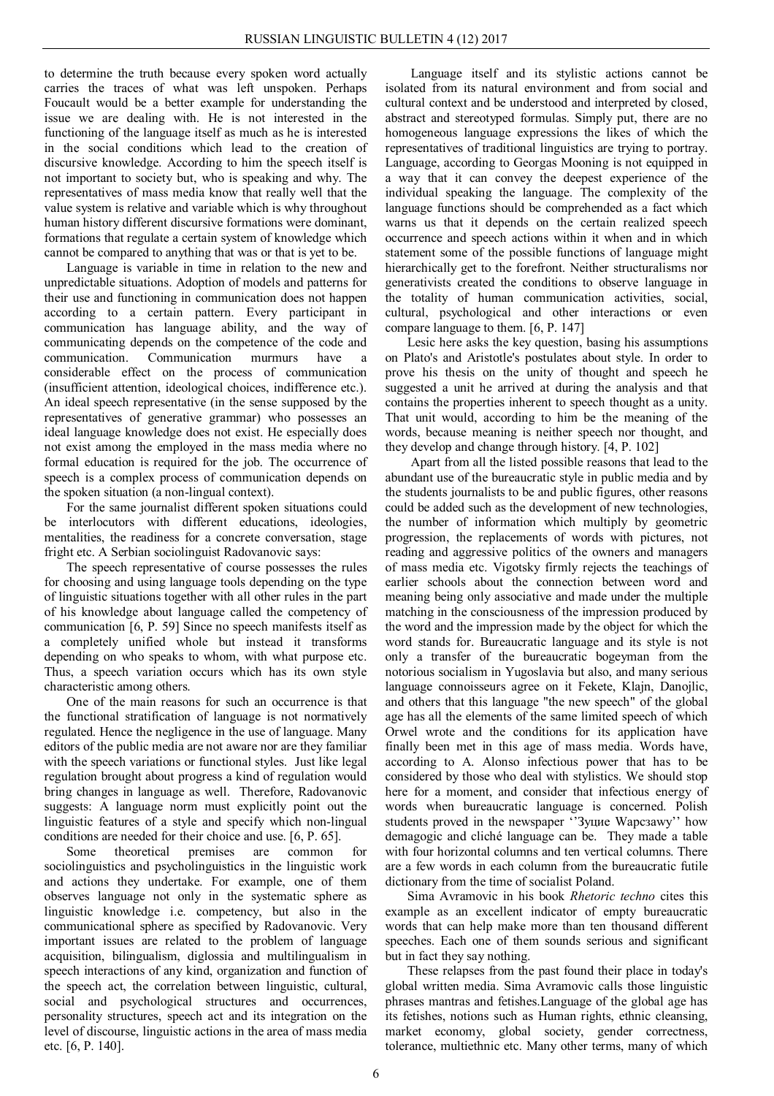to determine the truth because every spoken word actually carries the traces of what was left unspoken. Perhaps Foucault would be a better example for understanding the issue we are dealing with. He is not interested in the functioning of the language itself as much as he is interested in the social conditions which lead to the creation of discursive knowledge. According to him the speech itself is not important to society but, who is speaking and why. The representatives of mass media know that really well that the value system is relative and variable which is why throughout human history different discursive formations were dominant, formations that regulate a certain system of knowledge which cannot be compared to anything that was or that is yet to be.

Language is variable in time in relation to the new and unpredictable situations. Adoption of models and patterns for their use and functioning in communication does not happen according to a certain pattern. Every participant in communication has language ability, and the way of communicating depends on the competence of the code and communication. Communication murmurs have a considerable effect on the process of communication (insufficient attention, ideological choices, indifference etc.). An ideal speech representative (in the sense supposed by the representatives of generative grammar) who possesses an ideal language knowledge does not exist. He especially does not exist among the employed in the mass media where no formal education is required for the job. The occurrence of speech is a complex process of communication depends on the spoken situation (a non-lingual context).

For the same journalist different spoken situations could be interlocutors with different educations, ideologies, mentalities, the readiness for a concrete conversation, stage fright etc. A Serbian sociolinguist Radovanovic says:

The speech representative of course possesses the rules for choosing and using language tools depending on the type of linguistic situations together with all other rules in the part of his knowledge about language called the competency of communication [6, P. 59] Since no speech manifests itself as a completely unified whole but instead it transforms depending on who speaks to whom, with what purpose etc. Thus, a speech variation occurs which has its own style characteristic among others.

One of the main reasons for such an occurrence is that the functional stratification of language is not normatively regulated. Hence the negligence in the use of language. Many editors of the public media are not aware nor are they familiar with the speech variations or functional styles. Just like legal regulation brought about progress a kind of regulation would bring changes in language as well. Therefore, Radovanovic suggests: A language norm must explicitly point out the linguistic features of a style and specify which non-lingual conditions are needed for their choice and use. [6, P. 65].

Some theoretical premises are common for sociolinguistics and psycholinguistics in the linguistic work and actions they undertake. For example, one of them observes language not only in the systematic sphere as linguistic knowledge i.e. competency, but also in the communicational sphere as specified by Radovanovic. Very important issues are related to the problem of language acquisition, bilingualism, diglossia and multilingualism in speech interactions of any kind, organization and function of the speech act, the correlation between linguistic, cultural, social and psychological structures and occurrences, personality structures, speech act and its integration on the level of discourse, linguistic actions in the area of mass media etc. [6, P. 140].

Language itself and its stylistic actions cannot be isolated from its natural environment and from social and cultural context and be understood and interpreted by closed, abstract and stereotyped formulas. Simply put, there are no homogeneous language expressions the likes of which the representatives of traditional linguistics are trying to portray. Language, according to Georgas Mooning is not equipped in a way that it can convey the deepest experience of the individual speaking the language. The complexity of the language functions should be comprehended as a fact which warns us that it depends on the certain realized speech occurrence and speech actions within it when and in which statement some of the possible functions of language might hierarchically get to the forefront. Neither structuralisms nor generativists created the conditions to observe language in the totality of human communication activities, social, cultural, psychological and other interactions or even compare language to them. [6, P. 147]

Lesic here asks the key question, basing his assumptions on Plato's and Aristotle's postulates about style. In order to prove his thesis on the unity of thought and speech he suggested a unit he arrived at during the analysis and that contains the properties inherent to speech thought as a unity. That unit would, according to him be the meaning of the words, because meaning is neither speech nor thought, and they develop and change through history. [4, P. 102]

Apart from all the listed possible reasons that lead to the abundant use of the bureaucratic style in public media and by the students journalists to be and public figures, other reasons could be added such as the development of new technologies, the number of information which multiply by geometric progression, the replacements of words with pictures, not reading and aggressive politics of the owners and managers of mass media etc. Vigotsky firmly rejects the teachings of earlier schools about the connection between word and meaning being only associative and made under the multiple matching in the consciousness of the impression produced by the word and the impression made by the object for which the word stands for. Bureaucratic language and its style is not only a transfer of the bureaucratic bogeyman from the notorious socialism in Yugoslavia but also, and many serious language connoisseurs agree on it Fekete, Klajn, Danojlic, and others that this language "the new speech" of the global age has all the elements of the same limited speech of which Orwel wrote and the conditions for its application have finally been met in this age of mass media. Words have, according to A. Alonso infectious power that has to be considered by those who deal with stylistics. We should stop here for a moment, and consider that infectious energy of words when bureaucratic language is concerned. Polish students proved in the newspaper ''Зyцие Wарсзаwy'' how demagogic and cliché language can be. They made a table with four horizontal columns and ten vertical columns. There are a few words in each column from the bureaucratic futile dictionary from the time of socialist Poland.

Sima Avramovic in his book *Rhetoric techno* cites this example as an excellent indicator of empty bureaucratic words that can help make more than ten thousand different speeches. Each one of them sounds serious and significant but in fact they say nothing.

These relapses from the past found their place in today's global written media. Sima Avramovic calls those linguistic phrases mantras and fetishes.Language of the global age has its fetishes, notions such as Human rights, ethnic cleansing, market economy, global society, gender correctness, tolerance, multiethnic etc. Many other terms, many of which